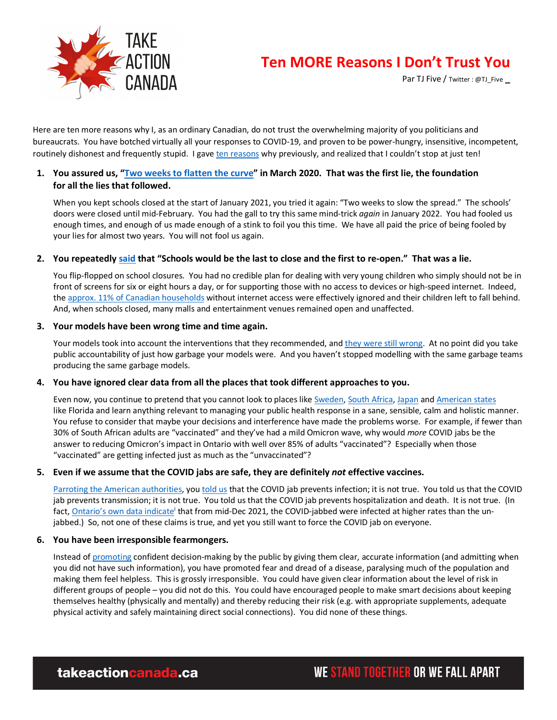

# **Ten MORE Reasons I Don't Trust You**

Par TJ Five / Twitter : @TJ\_Five **\_**

Here are ten more reasons why I, as an ordinary Canadian, do not trust the overwhelming majority of you politicians and bureaucrats. You have botched virtually all your responses to COVID-19, and proven to be power-hungry, insensitive, incompetent, routinely dishonest and frequently stupid. I gave ten reasons why previously, and realized that I couldn't stop at just ten!

## **1. You assured us, "Two weeks to flatten the curve" in March 2020. That was the first lie, the foundation for all the lies that followed.**

When you kept schools closed at the start of January 2021, you tried it again: "Two weeks to slow the spread." The schools' doors were closed until mid-February. You had the gall to try this same mind-trick *again* in January 2022. You had fooled us enough times, and enough of us made enough of a stink to foil you this time. We have all paid the price of being fooled by your lies for almost two years. You will not fool us again.

## **2. You repeatedly said that "Schools would be the last to close and the first to re-open." That was a lie.**

You flip-flopped on school closures. You had no credible plan for dealing with very young children who simply should not be in front of screens for six or eight hours a day, or for supporting those with no access to devices or high-speed internet. Indeed, the approx. 11% of Canadian households without internet access were effectively ignored and their children left to fall behind. And, when schools closed, many malls and entertainment venues remained open and unaffected.

#### **3. Your models have been wrong time and time again.**

Your models took into account the interventions that they recommended, and they were still wrong. At no point did you take public accountability of just how garbage your models were. And you haven't stopped modelling with the same garbage teams producing the same garbage models.

## **4. You have ignored clear data from all the places that took different approaches to you.**

Even now, you continue to pretend that you cannot look to places like Sweden, South Africa, Japan and American states like Florida and learn anything relevant to managing your public health response in a sane, sensible, calm and holistic manner. You refuse to consider that maybe your decisions and interference have made the problems worse. For example, if fewer than 30% of South African adults are "vaccinated" and they've had a mild Omicron wave, why would *more* COVID jabs be the answer to reducing Omicron's impact in Ontario with well over 85% of adults "vaccinated"? Especially when those "vaccinated" are getting infected just as much as the "unvaccinated"?

## **5. Even if we assume that the COVID jabs are safe, they are definitely** *not* **effective vaccines.**

Parroting the American authorities, you told us that the COVID jab prevents infection; it is not true. You told us that the COVID jab prevents transmission; it is not true. You told us that the COVID jab prevents hospitalization and death. It is not true. (In fact, Ontario's own data indicate that from mid-Dec 2021, the COVID-jabbed were infected at higher rates than the unjabbed.) So, not one of these claims is true, and yet you still want to force the COVID jab on everyone.

#### **6. You have been irresponsible fearmongers.**

Instead of promoting confident decision-making by the public by giving them clear, accurate information (and admitting when you did not have such information), you have promoted fear and dread of a disease, paralysing much of the population and making them feel helpless. This is grossly irresponsible. You could have given clear information about the level of risk in different groups of people – you did not do this. You could have encouraged people to make smart decisions about keeping themselves healthy (physically and mentally) and thereby reducing their risk (e.g. with appropriate supplements, adequate physical activity and safely maintaining direct social connections). You did none of these things.